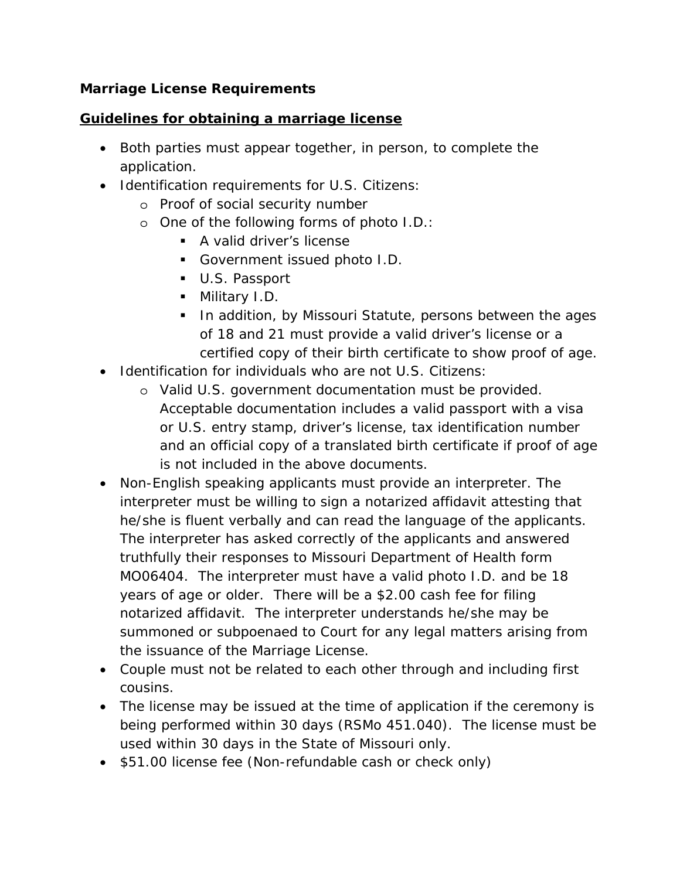## *Marriage License Requirements*

### *Guidelines for obtaining a marriage license*

- Both parties must appear together, in person, to complete the application.
- Identification requirements for U.S. Citizens:
	- o Proof of social security number
	- o One of the following forms of photo I.D.:
		- **A** valid driver's license
		- Government issued photo I.D.
		- U.S. Passport
		- Military I.D.
		- **IF In addition, by Missouri Statute, persons between the ages In Allen** of 18 and 21 must provide a valid driver's license or a certified copy of their birth certificate to show proof of age.
- Identification for individuals who are not U.S. Citizens:
	- o Valid U.S. government documentation must be provided. Acceptable documentation includes a valid passport with a visa or U.S. entry stamp, driver's license, tax identification number and an official copy of a translated birth certificate if proof of age is not included in the above documents.
- Non-English speaking applicants must provide an interpreter. The interpreter must be willing to sign a notarized affidavit attesting that he/she is fluent verbally and can read the language of the applicants. The interpreter has asked correctly of the applicants and answered truthfully their responses to Missouri Department of Health form MO06404. The interpreter must have a valid photo I.D. and be 18 years of age or older. There will be a \$2.00 cash fee for filing notarized affidavit. The interpreter understands he/she may be summoned or subpoenaed to Court for any legal matters arising from the issuance of the Marriage License.
- Couple must not be related to each other through and including first cousins.
- The license may be issued at the time of application if the ceremony is being performed within 30 days (RSMo 451.040). The license must be used within 30 days in the State of Missouri only.
- \$51.00 license fee (Non-refundable cash or check only)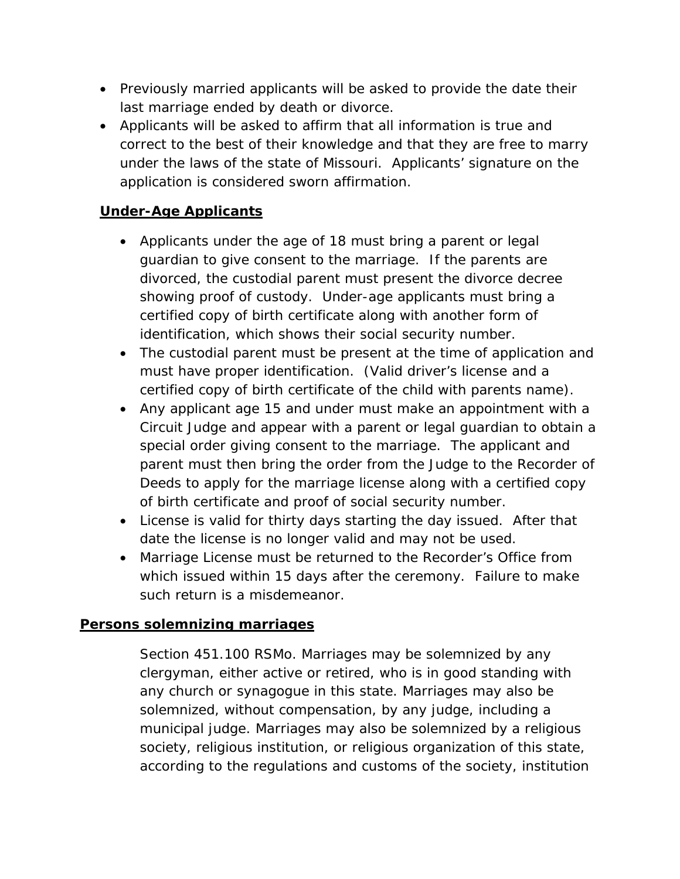- Previously married applicants will be asked to provide the date their last marriage ended by death or divorce.
- Applicants will be asked to affirm that all information is true and correct to the best of their knowledge and that they are free to marry under the laws of the state of Missouri. Applicants' signature on the application is considered sworn affirmation.

# *Under-Age Applicants*

- Applicants under the age of 18 must bring a parent or legal guardian to give consent to the marriage. If the parents are divorced, the custodial parent must present the divorce decree showing proof of custody. Under-age applicants must bring a certified copy of birth certificate along with another form of identification, which shows their social security number.
- The custodial parent must be present at the time of application and must have proper identification. (Valid driver's license and a certified copy of birth certificate of the child with parents name).
- Any applicant age 15 and under must make an appointment with a Circuit Judge and appear with a parent or legal guardian to obtain a special order giving consent to the marriage. The applicant and parent must then bring the order from the Judge to the Recorder of Deeds to apply for the marriage license along with a certified copy of birth certificate and proof of social security number.
- License is valid for thirty days starting the day issued. After that date the license is no longer valid and may not be used.
- Marriage License must be returned to the Recorder's Office from which issued within 15 days after the ceremony. Failure to make such return is a misdemeanor.

# *Persons solemnizing marriages*

Section 451.100 RSMo. Marriages may be solemnized by any clergyman, either active or retired, who is in good standing with any church or synagogue in this state. Marriages may also be solemnized, without compensation, by any judge, including a municipal judge. Marriages may also be solemnized by a religious society, religious institution, or religious organization of this state, according to the regulations and customs of the society, institution